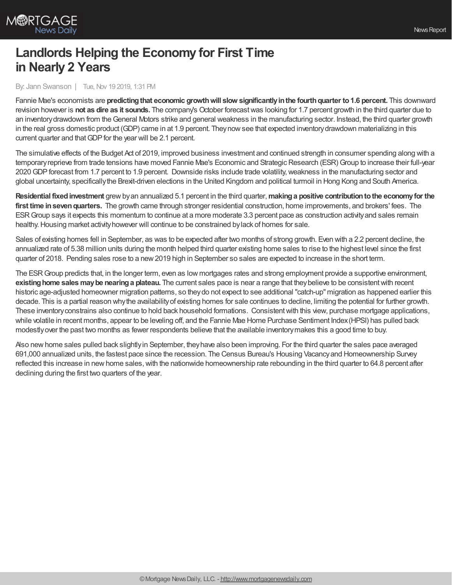

## **Landlords Helping the Economy for First Time in Nearly 2 Years**

By: Jann Swanson | Tue, Nov 19 2019, 1:31 PM

Fannie Mae's economists are **predictingthat economic growthwill slow significantlyinthe fourthquarter to1.6 percent.** This downward revision however is **not as dire as it sounds.** The company's October forecastwas looking for 1.7 percent growth in the third quarter due to an inventorydrawdown from theGeneral Motors strike and general weakness in the manufacturing sector. Instead, the third quarter growth in the real gross domestic product (GDP) came in at 1.9 percent. Theynowsee that expected inventorydrawdown materializing in this current quarter and that GDP for the year will be 2.1 percent.

The simulative effects of the Budget Act of 2019, improved business investment and continued strength in consumer spending along with a temporary reprieve from trade tensions have moved Fannie Mae's Economic and Strategic Research (ESR) Group to increase their full-year 2020 GDP forecast from 1.7 percent to 1.9 percent. Downside risks include trade volatility, weakness in the manufacturing sector and global uncertainty, specificallythe Brexit-driven elections in the United Kingdom and political turmoil in Hong Kong and South America.

**Residential fixedinvestment** grewbyan annualized 5.1 percent in the third quarter,**makinga positive contributiontothe economyfor the first time insevenquarters.** The growth came through stronger residential construction, home improvements, and brokers' fees. The ESRGroup says it expects this momentum to continue at a more moderate 3.3 percent pace as construction activityand sales remain healthy. Housing market activity however will continue to be constrained by lack of homes for sale.

Sales of existing homes fell in September, as was to be expected after two months of strong growth. Even with a 2.2 percent decline, the annualized rate of 5.38 million units during the month helped third quarter existing home sales to rise to the highest level since the first quarter of 2018. Pending sales rose to a new 2019 high in September so sales are expected to increase in the short term.

The ESRGroup predicts that, in the longer term, even as low mortgages rates and strong employment provide a supportive environment, **existing home sales may be nearing a plateau.** The current sales pace is near a range that they believe to be consistent with recent historic age-adjusted homeowner migration patterns, so theydo not expect to see additional "catch-up" migration as happened earlier this decade. This is a partial reason whythe availabilityof existing homes for sale continues to decline, limiting the potential for further growth. These inventoryconstrains also continue to hold back household formations. Consistentwith this view, purchase mortgage applications, while volatile in recent months, appear to be leveling off, and the Fannie Mae Home Purchase Sentiment Index(HPSI) has pulled back modestlyover the past two months as fewer respondents believe that the available inventorymakes this a good time to buy.

Also new home sales pulled back slightlyin September, they have also been improving. For the third quarter the sales pace averaged 691,000 annualized units, the fastest pace since the recession. The Census Bureau's Housing Vacancyand Homeownership Survey reflected this increase in new home sales, with the nationwide homeownership rate rebounding in the third quarter to 64.8 percent after declining during the first two quarters of the year.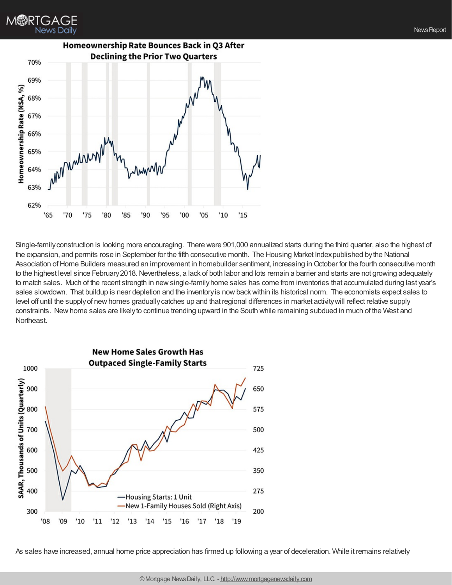

Single-family construction is looking more encouraging. There were 901,000 annualized starts during the third quarter, also the highest of the expansion, and permits rose in September for the fifth consecutive month. The Housing Market Indexpublished bythe National Association of Home Builders measured an improvement in homebuilder sentiment, increasing in October for the fourth consecutive month to the highest level since February2018.Nevertheless, a lack of both labor and lots remain a barrier and starts are not growing adequately to match sales. Much of the recent strength in newsingle-familyhome sales has come from inventories that accumulated during last year's sales slowdown. That buildup is near depletion and the inventoryis nowbackwithin its historical norm. The economists expect sales to level off until the supplyof newhomes graduallycatches up and that regional differences in market activitywill reflect relative supply constraints. Newhome sales are likelyto continue trending upward in the South while remaining subdued in much of the West and Northeast.



As sales have increased, annual home price appreciation has firmed up following a year of deceleration. While it remains relatively